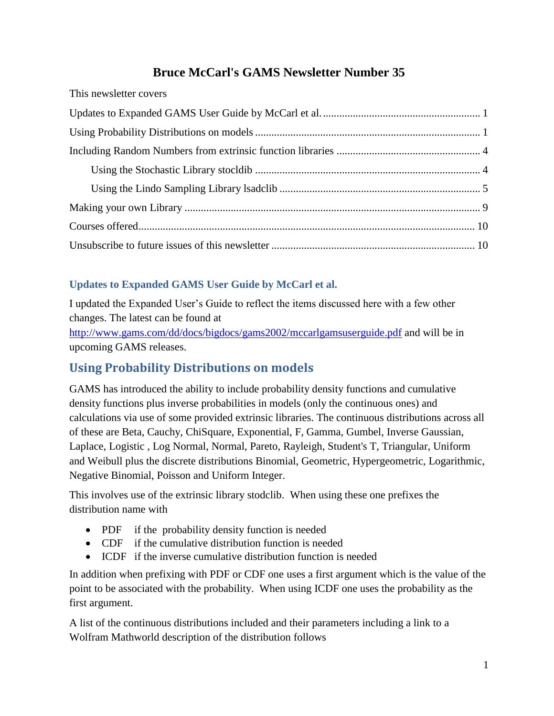## **Bruce McCarl's GAMS Newsletter Number 35**

| THIS HUWSICHUI COVUIS |  |
|-----------------------|--|
|                       |  |
|                       |  |
|                       |  |
|                       |  |
|                       |  |
|                       |  |
|                       |  |
|                       |  |
|                       |  |

## **Updates to Expanded GAMS User Guide by McCarl et al.**

This newsletter covers

I updated the Expanded User's Guide to reflect the items discussed here with a few other changes. The latest can be found at

<http://www.gams.com/dd/docs/bigdocs/gams2002/mccarlgamsuserguide.pdf> and will be in upcoming GAMS releases.

# **Using Probability Distributions on models**

GAMS has introduced the ability to include probability density functions and cumulative density functions plus inverse probabilities in models (only the continuous ones) and calculations via use of some provided extrinsic libraries. The continuous distributions across all of these are Beta, Cauchy, ChiSquare, Exponential, F, Gamma, Gumbel, Inverse Gaussian, Laplace, Logistic , Log Normal, Normal, Pareto, Rayleigh, Student's T, Triangular, Uniform and Weibull plus the discrete distributions Binomial, Geometric, Hypergeometric, Logarithmic, Negative Binomial, Poisson and Uniform Integer.

This involves use of the extrinsic library stodclib. When using these one prefixes the distribution name with

- PDF if the probability density function is needed
- CDF if the cumulative distribution function is needed
- ICDF if the inverse cumulative distribution function is needed

In addition when prefixing with PDF or CDF one uses a first argument which is the value of the point to be associated with the probability. When using ICDF one uses the probability as the first argument.

A list of the continuous distributions included and their parameters including a link to a Wolfram Mathworld description of the distribution follows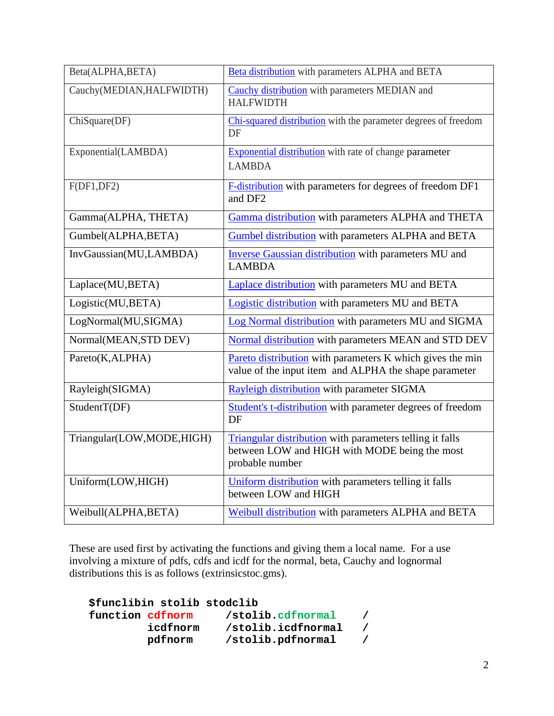| Beta(ALPHA,BETA)          | Beta distribution with parameters ALPHA and BETA                                                                             |
|---------------------------|------------------------------------------------------------------------------------------------------------------------------|
| Cauchy(MEDIAN, HALFWIDTH) | Cauchy distribution with parameters MEDIAN and<br><b>HALFWIDTH</b>                                                           |
| ChiSquare(DF)             | Chi-squared distribution with the parameter degrees of freedom<br>DF                                                         |
| Exponential(LAMBDA)       | <b>Exponential distribution</b> with rate of change parameter<br><b>LAMBDA</b>                                               |
| F(DF1,DF2)                | F-distribution with parameters for degrees of freedom DF1<br>and DF <sub>2</sub>                                             |
| Gamma(ALPHA, THETA)       | Gamma distribution with parameters ALPHA and THETA                                                                           |
| Gumbel(ALPHA, BETA)       | Gumbel distribution with parameters ALPHA and BETA                                                                           |
| InvGaussian(MU,LAMBDA)    | <b>Inverse Gaussian distribution</b> with parameters MU and<br><b>LAMBDA</b>                                                 |
| Laplace(MU,BETA)          | Laplace distribution with parameters MU and BETA                                                                             |
| Logistic(MU,BETA)         | Logistic distribution with parameters MU and BETA                                                                            |
| LogNormal(MU,SIGMA)       | Log Normal distribution with parameters MU and SIGMA                                                                         |
| Normal(MEAN, STD DEV)     | Normal distribution with parameters MEAN and STD DEV                                                                         |
| Pareto(K,ALPHA)           | Pareto distribution with parameters K which gives the min<br>value of the input item and ALPHA the shape parameter           |
| Rayleigh(SIGMA)           | Rayleigh distribution with parameter SIGMA                                                                                   |
| StudentT(DF)              | Student's t-distribution with parameter degrees of freedom<br>DF                                                             |
| Triangular(LOW,MODE,HIGH) | Triangular distribution with parameters telling it falls<br>between LOW and HIGH with MODE being the most<br>probable number |
| Uniform(LOW,HIGH)         | Uniform distribution with parameters telling it falls<br>between LOW and HIGH                                                |
| Weibull(ALPHA, BETA)      | Weibull distribution with parameters ALPHA and BETA                                                                          |

These are used first by activating the functions and giving them a local name. For a use involving a mixture of pdfs, cdfs and icdf for the normal, beta, Cauchy and lognormal distributions this is as follows (extrinsicstoc.gms).

|                  | \$funclibin stolib stodclib |                    |  |
|------------------|-----------------------------|--------------------|--|
| function cdfnorm |                             | /stolib.cdfnormal  |  |
|                  | icdfnorm                    | /stolib.icdfnormal |  |
|                  | pdfnorm                     | /stolib.pdfnormal  |  |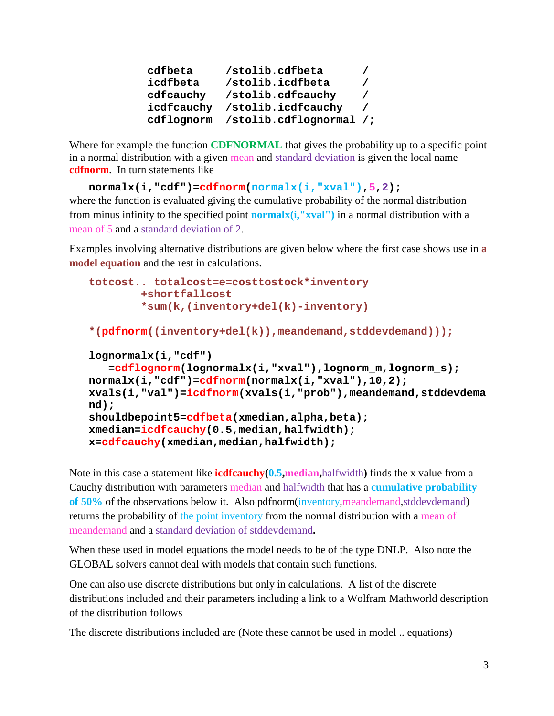| /stolib.cdfbeta                    |          |
|------------------------------------|----------|
| /stolib.icdfbeta                   | $\prime$ |
| /stolib.cdfcauchy                  | $\prime$ |
| icdfcauchy /stolib.icdfcauchy      |          |
| cdflognorm /stolib.cdflognormal /; |          |
|                                    |          |

Where for example the function **CDFNORMAL** that gives the probability up to a specific point in a normal distribution with a given mean and standard deviation is given the local name **cdfnorm**. In turn statements like

```
normalx(i,"cdf")=cdfnorm(normalx(i,"xval"),5,2);
```
where the function is evaluated giving the cumulative probability of the normal distribution from minus infinity to the specified point **normalx(i,"xval")** in a normal distribution with a mean of 5 and a standard deviation of 2.

Examples involving alternative distributions are given below where the first case shows use in **a model equation** and the rest in calculations.

```
totcost.. totalcost=e=costtostock*inventory
         +shortfallcost
         *sum(k,(inventory+del(k)-inventory)
*(pdfnorm((inventory+del(k)),meandemand,stddevdemand)));
lognormalx(i,"cdf")
    =cdflognorm(lognormalx(i,"xval"),lognorm_m,lognorm_s);
normalx(i,"cdf")=cdfnorm(normalx(i,"xval"),10,2);
xvals(i,"val")=icdfnorm(xvals(i,"prob"),meandemand,stddevdema
nd);
shouldbepoint5=cdfbeta(xmedian,alpha,beta);
xmedian=icdfcauchy(0.5,median,halfwidth);
x=cdfcauchy(xmedian,median,halfwidth);
```
Note in this case a statement like **icdfcauchy(0.5,median,**halfwidth**)** finds the x value from a Cauchy distribution with parameters median and halfwidth that has a **cumulative probability of 50%** of the observations below it. Also pdfnorm(inventory,meandemand,stddevdemand) returns the probability of the point inventory from the normal distribution with a mean of meandemand and a standard deviation of stddevdemand**.**

When these used in model equations the model needs to be of the type DNLP. Also note the GLOBAL solvers cannot deal with models that contain such functions.

One can also use discrete distributions but only in calculations. A list of the discrete distributions included and their parameters including a link to a Wolfram Mathworld description of the distribution follows

The discrete distributions included are (Note these cannot be used in model .. equations)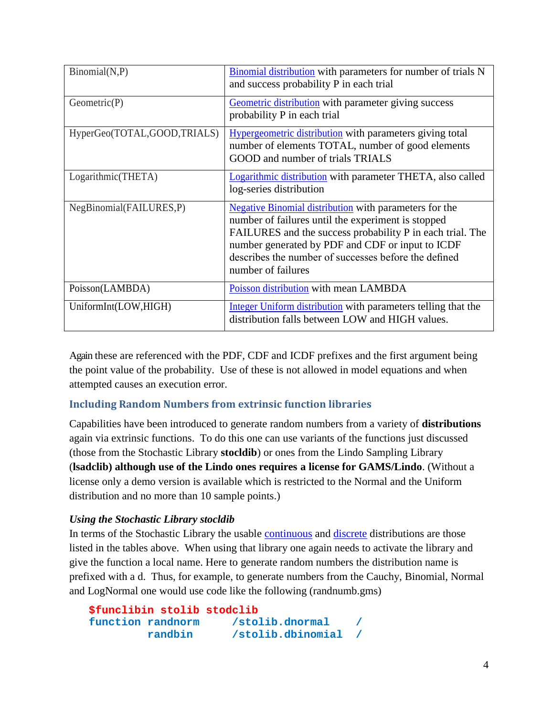| Binomial(N, P)              | <b>Binomial distribution</b> with parameters for number of trials N<br>and success probability P in each trial                                                                                                                                                                                                     |
|-----------------------------|--------------------------------------------------------------------------------------------------------------------------------------------------------------------------------------------------------------------------------------------------------------------------------------------------------------------|
| Geometric(P)                | Geometric distribution with parameter giving success<br>probability P in each trial                                                                                                                                                                                                                                |
| HyperGeo(TOTAL,GOOD,TRIALS) | <b>Hypergeometric distribution</b> with parameters giving total<br>number of elements TOTAL, number of good elements<br>GOOD and number of trials TRIALS                                                                                                                                                           |
| Logarithmic(THETA)          | Logarithmic distribution with parameter THETA, also called<br>log-series distribution                                                                                                                                                                                                                              |
| NegBinomial(FAILURES,P)     | <b>Negative Binomial distribution</b> with parameters for the<br>number of failures until the experiment is stopped<br>FAILURES and the success probability P in each trial. The<br>number generated by PDF and CDF or input to ICDF<br>describes the number of successes before the defined<br>number of failures |
| Poisson(LAMBDA)             | Poisson distribution with mean LAMBDA                                                                                                                                                                                                                                                                              |
| UniformInt(LOW,HIGH)        | Integer Uniform distribution with parameters telling that the<br>distribution falls between LOW and HIGH values.                                                                                                                                                                                                   |

Again these are referenced with the PDF, CDF and ICDF prefixes and the first argument being the point value of the probability. Use of these is not allowed in model equations and when attempted causes an execution error.

### **Including Random Numbers from extrinsic function libraries**

Capabilities have been introduced to generate random numbers from a variety of **distributions** again via extrinsic functions. To do this one can use variants of the functions just discussed (those from the Stochastic Library **stocldib**) or ones from the Lindo Sampling Library (**lsadclib) although use of the Lindo ones requires a license for GAMS/Lindo**. (Without a license only a demo version is available which is restricted to the Normal and the Uniform distribution and no more than 10 sample points.)

#### *Using the Stochastic Library stocldib*

In terms of the Stochastic Library the usable [continuous](file:///C:/mccarl/papers/newsletter35.docx%23continuous) and [discrete](file:///C:/mccarl/papers/newsletter35.docx%23discrete) distributions are those listed in the tables above. When using that library one again needs to activate the library and give the function a local name. Here to generate random numbers the distribution name is prefixed with a d. Thus, for example, to generate numbers from the Cauchy, Binomial, Normal and LogNormal one would use code like the following (randnumb.gms)

```
$funclibin stolib stodclib
function randnorm /stolib.dnormal /
        randbin /stolib.dbinomial /
```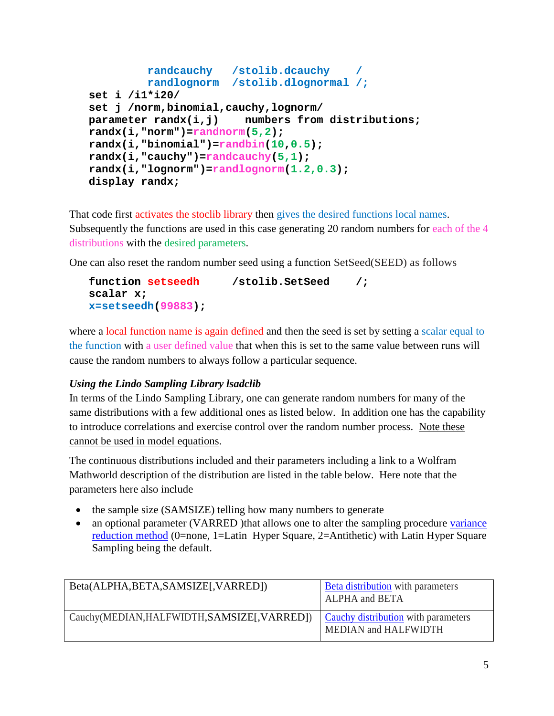```
 randcauchy /stolib.dcauchy /
          randlognorm /stolib.dlognormal /;
set i /i1*i20/
set j /norm,binomial,cauchy,lognorm/
parameter randx(i,j) numbers from distributions;
randx(i,"norm")=randnorm(5,2);
randx(i,"binomial")=randbin(10,0.5);
randx(i,"cauchy")=randcauchy(5,1);
randx(i,"lognorm")=randlognorm(1.2,0.3);
display randx;
```
That code first activates the stoclib library then gives the desired functions local names. Subsequently the functions are used in this case generating 20 random numbers for each of the 4 distributions with the desired parameters.

One can also reset the random number seed using a function SetSeed(SEED) as follows

```
function setseedh /stolib.SetSeed /;
scalar x;
x=setseedh(99883);
```
where a local function name is again defined and then the seed is set by setting a scalar equal to the function with a user defined value that when this is set to the same value between runs will cause the random numbers to always follow a particular sequence.

#### *Using the Lindo Sampling Library lsadclib*

In terms of the Lindo Sampling Library, one can generate random numbers for many of the same distributions with a few additional ones as listed below. In addition one has the capability to introduce correlations and exercise control over the random number process. Note these cannot be used in model equations.

The continuous distributions included and their parameters including a link to a Wolfram Mathworld description of the distribution are listed in the table below. Here note that the parameters here also include

- the sample size (SAMSIZE) telling how many numbers to generate
- an optional parameter (VARRED) that allows one to alter the sampling procedure variance [reduction method](http://en.wikipedia.org/wiki/Variance_reduction) (0=none, 1=Latin Hyper Square, 2=Antithetic) with Latin Hyper Square Sampling being the default.

| Beta(ALPHA,BETA,SAMSIZE[,VARRED])            | <b>Beta distribution</b> with parameters<br><b>ALPHA</b> and BETA  |
|----------------------------------------------|--------------------------------------------------------------------|
| Cauchy(MEDIAN, HALFWIDTH, SAMSIZE[, VARRED]) | <b>Cauchy distribution</b> with parameters<br>MEDIAN and HALFWIDTH |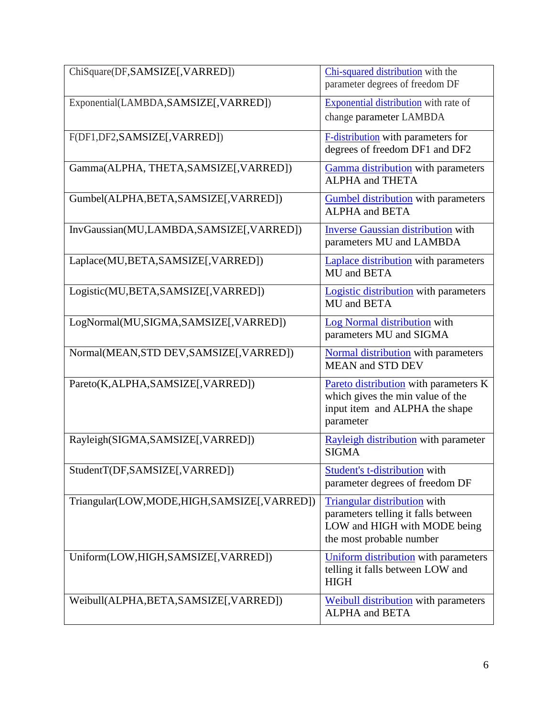| ChiSquare(DF,SAMSIZE[,VARRED])             | Chi-squared distribution with the<br>parameter degrees of freedom DF                                                            |
|--------------------------------------------|---------------------------------------------------------------------------------------------------------------------------------|
| Exponential(LAMBDA,SAMSIZE[,VARRED])       | <b>Exponential distribution</b> with rate of<br>change parameter LAMBDA                                                         |
| F(DF1,DF2,SAMSIZE[,VARRED])                | <b>F-distribution</b> with parameters for<br>degrees of freedom DF1 and DF2                                                     |
| Gamma(ALPHA, THETA, SAMSIZE[, VARRED])     | Gamma distribution with parameters<br><b>ALPHA</b> and THETA                                                                    |
| Gumbel(ALPHA,BETA,SAMSIZE[,VARRED])        | <b>Gumbel distribution</b> with parameters<br><b>ALPHA</b> and <b>BETA</b>                                                      |
| InvGaussian(MU,LAMBDA,SAMSIZE[,VARRED])    | <b>Inverse Gaussian distribution with</b><br>parameters MU and LAMBDA                                                           |
| Laplace(MU,BETA,SAMSIZE[,VARRED])          | <b>Laplace distribution</b> with parameters<br>MU and BETA                                                                      |
| Logistic(MU,BETA,SAMSIZE[,VARRED])         | <b>Logistic distribution</b> with parameters<br>MU and BETA                                                                     |
| LogNormal(MU,SIGMA,SAMSIZE[,VARRED])       | Log Normal distribution with<br>parameters MU and SIGMA                                                                         |
| Normal(MEAN,STD DEV,SAMSIZE[,VARRED])      | <b>Normal distribution</b> with parameters<br><b>MEAN and STD DEV</b>                                                           |
| Pareto(K,ALPHA,SAMSIZE[,VARRED])           | Pareto distribution with parameters K<br>which gives the min value of the<br>input item and ALPHA the shape<br>parameter        |
| Rayleigh(SIGMA,SAMSIZE[,VARRED])           | Rayleigh distribution with parameter<br><b>SIGMA</b>                                                                            |
| StudentT(DF,SAMSIZE[,VARRED])              | <b>Student's t-distribution</b> with<br>parameter degrees of freedom DF                                                         |
| Triangular(LOW,MODE,HIGH,SAMSIZE[,VARRED]) | Triangular distribution with<br>parameters telling it falls between<br>LOW and HIGH with MODE being<br>the most probable number |
| Uniform(LOW,HIGH,SAMSIZE[,VARRED])         | Uniform distribution with parameters<br>telling it falls between LOW and<br><b>HIGH</b>                                         |
| Weibull(ALPHA,BETA,SAMSIZE[,VARRED])       | <b>Weibull distribution</b> with parameters<br><b>ALPHA</b> and <b>BETA</b>                                                     |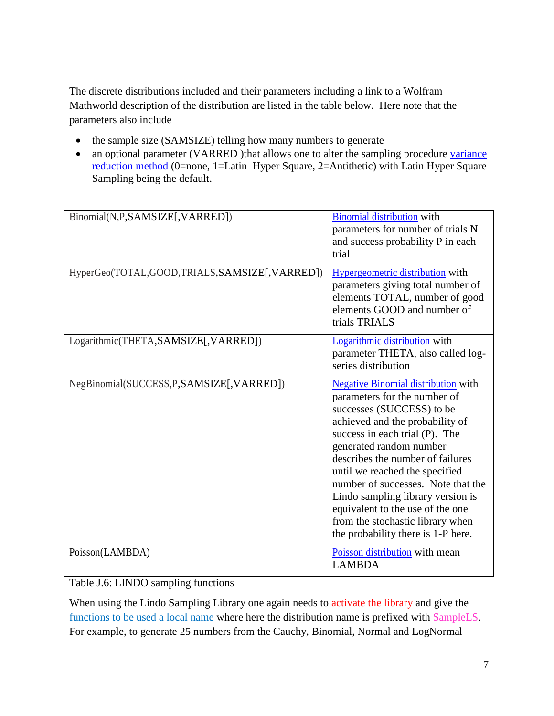The discrete distributions included and their parameters including a link to a Wolfram Mathworld description of the distribution are listed in the table below. Here note that the parameters also include

- the sample size (SAMSIZE) telling how many numbers to generate
- an optional parameter (VARRED )that allows one to alter the sampling procedure variance [reduction method](http://en.wikipedia.org/wiki/Variance_reduction) (0=none, 1=Latin Hyper Square, 2=Antithetic) with Latin Hyper Square Sampling being the default.

| Binomial(N,P,SAMSIZE[,VARRED])               | <b>Binomial distribution</b> with<br>parameters for number of trials N<br>and success probability P in each<br>trial                                                                                                                                                                                                                                                                                                                                                   |
|----------------------------------------------|------------------------------------------------------------------------------------------------------------------------------------------------------------------------------------------------------------------------------------------------------------------------------------------------------------------------------------------------------------------------------------------------------------------------------------------------------------------------|
| HyperGeo(TOTAL,GOOD,TRIALS,SAMSIZE[,VARRED]) | Hypergeometric distribution with<br>parameters giving total number of<br>elements TOTAL, number of good<br>elements GOOD and number of<br>trials TRIALS                                                                                                                                                                                                                                                                                                                |
| Logarithmic(THETA,SAMSIZE[,VARRED])          | Logarithmic distribution with<br>parameter THETA, also called log-<br>series distribution                                                                                                                                                                                                                                                                                                                                                                              |
| NegBinomial(SUCCESS,P,SAMSIZE[,VARRED])      | <b>Negative Binomial distribution with</b><br>parameters for the number of<br>successes (SUCCESS) to be<br>achieved and the probability of<br>success in each trial (P). The<br>generated random number<br>describes the number of failures<br>until we reached the specified<br>number of successes. Note that the<br>Lindo sampling library version is<br>equivalent to the use of the one<br>from the stochastic library when<br>the probability there is 1-P here. |
| Poisson(LAMBDA)                              | Poisson distribution with mean<br><b>LAMBDA</b>                                                                                                                                                                                                                                                                                                                                                                                                                        |

Table J.6: LINDO sampling functions

When using the Lindo Sampling Library one again needs to activate the library and give the functions to be used a local name where here the distribution name is prefixed with SampleLS. For example, to generate 25 numbers from the Cauchy, Binomial, Normal and LogNormal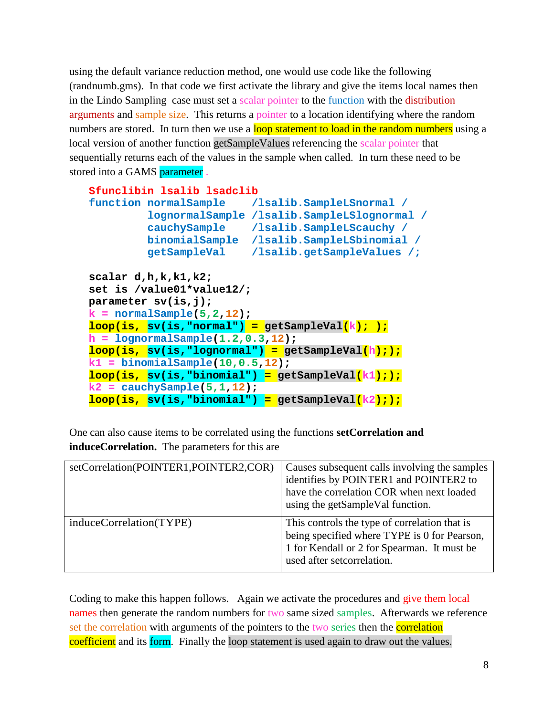using the default variance reduction method, one would use code like the following (randnumb.gms). In that code we first activate the library and give the items local names then in the Lindo Sampling case must set a scalar pointer to the function with the distribution arguments and sample size. This returns a pointer to a location identifying where the random numbers are stored. In turn then we use a loop statement to load in the random numbers using a local version of another function getSampleValues referencing the scalar pointer that sequentially returns each of the values in the sample when called. In turn these need to be stored into a GAMS parameter .

```
$funclibin lsalib lsadclib
function normalSample /lsalib.SampleLSnormal /
         lognormalSample /lsalib.SampleLSlognormal /
          cauchySample /lsalib.SampleLScauchy /
         binomialSample /lsalib.SampleLSbinomial /
          getSampleVal /lsalib.getSampleValues /;
scalar d,h,k,k1,k2;
set is /value01*value12/;
parameter sv(is,j);
k = normalSample(5,2,12);
loop(is, sv(is,"normal") = getSampleVal(k); );
h = lognormalSample(1.2,0.3,12);
loop(is, sv(is,"lognormal") = getSampleVal(h););
k1 = binomialSample(10,0.5,12);
loop(is, sv(is,"binomial") = getSampleVal(k1););
k2 = cauchySample(5,1,12);
loop(is, sv(is,"binomial") = getSampleVal(k2););
```
One can also cause items to be correlated using the functions **setCorrelation and induceCorrelation.** The parameters for this are

| setCorrelation(POINTER1,POINTER2,COR) | Causes subsequent calls involving the samples<br>identifies by POINTER1 and POINTER2 to<br>have the correlation COR when next loaded<br>using the getSampleVal function.   |
|---------------------------------------|----------------------------------------------------------------------------------------------------------------------------------------------------------------------------|
| induceCorrelation(TYPE)               | This controls the type of correlation that is<br>being specified where TYPE is 0 for Pearson,<br>1 for Kendall or 2 for Spearman. It must be<br>used after setcorrelation. |

Coding to make this happen follows. Again we activate the procedures and give them local names then generate the random numbers for two same sized samples. Afterwards we reference set the correlation with arguments of the pointers to the two series then the **correlation** coefficient and its form. Finally the loop statement is used again to draw out the values.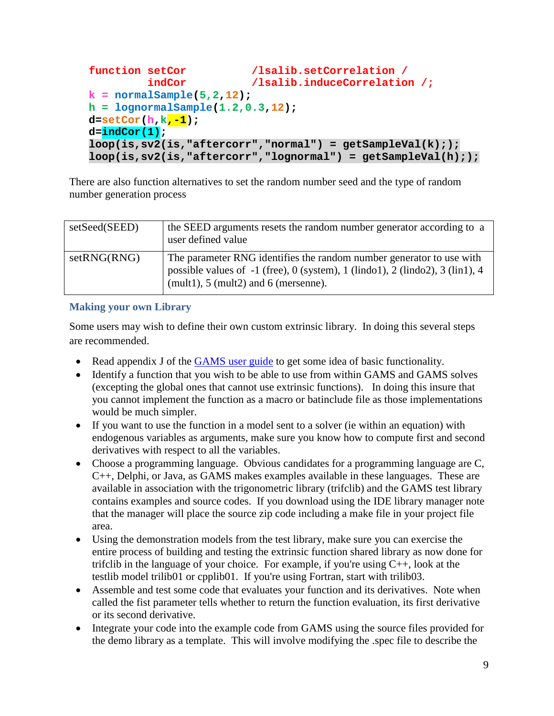```
function setCor \qquad \qquad /lsalib.setCorrelation /
          indCor /lsalib.induceCorrelation /;
k = normalSample(5,2,12);
h = lognormalSample(1.2,0.3,12);
d=setCor(h,k,-1);
d=indCor(1);
loop(is,sv2(is,"aftercorr","normal") = getSampleVal(k););
loop(is,sv2(is,"aftercorr","lognormal") = getSampleVal(h););
```
There are also function alternatives to set the random number seed and the type of random number generation process

| setSeed(SEED) | the SEED arguments resets the random number generator according to a<br>user defined value                                                                                                                         |
|---------------|--------------------------------------------------------------------------------------------------------------------------------------------------------------------------------------------------------------------|
| setRNG(RNG)   | The parameter RNG identifies the random number generator to use with<br>possible values of -1 (free), 0 (system), 1 (lindo1), 2 (lindo2), 3 (lin1), 4<br>(mult1), $5 \text{ (mult2)}$ and $6 \text{ (mersenne)}$ . |

#### **Making your own Library**

Some users may wish to define their own custom extrinsic library. In doing this several steps are recommended.

- Read appendix J of the [GAMS user guide](http://www.gams.com/dd/docs/bigdocs/GAMSUsersGuide.pdf) to get some idea of basic functionality.
- Identify a function that you wish to be able to use from within GAMS and GAMS solves (excepting the global ones that cannot use extrinsic functions). In doing this insure that you cannot implement the function as a macro or batinclude file as those implementations would be much simpler.
- If you want to use the function in a model sent to a solver (ie within an equation) with endogenous variables as arguments, make sure you know how to compute first and second derivatives with respect to all the variables.
- Choose a programming language. Obvious candidates for a programming language are C, C++, Delphi, or Java, as GAMS makes examples available in these languages. These are available in association with the trigonometric library (trifclib) and the GAMS test library contains examples and source codes. If you download using the IDE library manager note that the manager will place the source zip code including a make file in your project file area.
- Using the demonstration models from the test library, make sure you can exercise the entire process of building and testing the extrinsic function shared library as now done for trificlib in the language of your choice. For example, if you're using  $C_{++}$ , look at the testlib model trilib01 or cpplib01. If you're using Fortran, start with trilib03.
- Assemble and test some code that evaluates your function and its derivatives. Note when called the fist parameter tells whether to return the function evaluation, its first derivative or its second derivative.
- Integrate your code into the example code from GAMS using the source files provided for the demo library as a template. This will involve modifying the .spec file to describe the